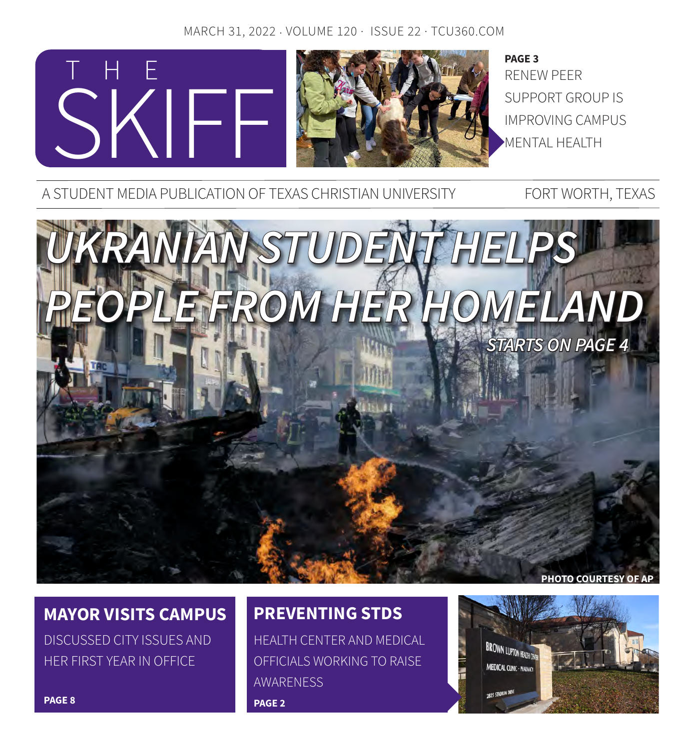### MARCH 31, 2022 · VOLUME 120 · ISSUE 22 · TCU360.COM



RENEW PEER SUPPORT GROUP IS IMPROVING CAMPUS MENTAL HEALTH **PAGE 3**

A STUDENT MEDIA PUBLICATION OF TEXAS CHRISTIAN UNIVERSITY FORT WORTH, TEXAS



## **MAYOR VISITS CAMPUS**

DISCUSSED CITY ISSUES AND HER FIRST YEAR IN OFFICE

## **PREVENTING STDS**

HEALTH CENTER AND MEDICAL OFFICIALS WORKING TO RAISE AWARENESS **PAGE 2**

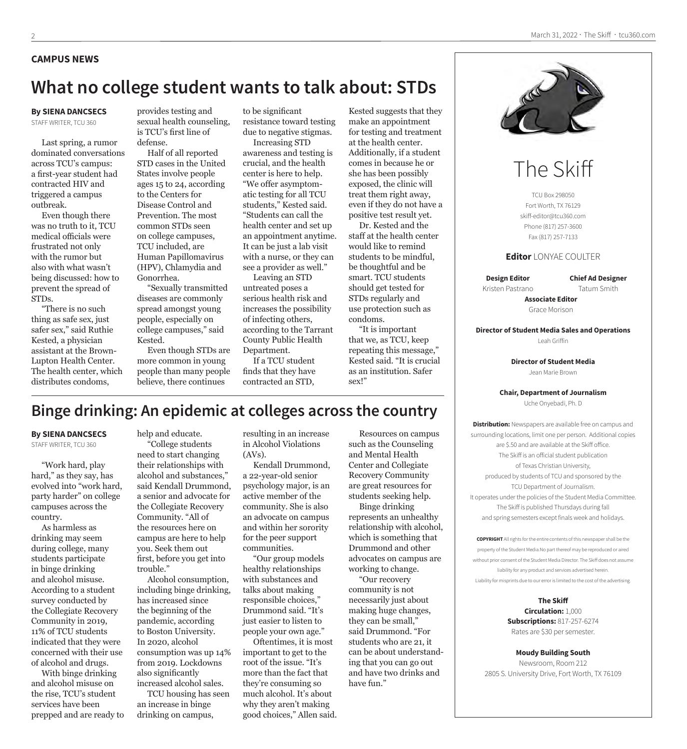#### **CAMPUS NEWS**

### **What no college student wants to talk about: STDs**

### **By SIENA DANCSECS**

STAFF WRITER, TCU 360

Last spring, a rumor dominated conversations across TCU's campus: a first-year student had contracted HIV and triggered a campus outbreak.

Even though there was no truth to it, TCU medical officials were frustrated not only with the rumor but also with what wasn't being discussed: how to prevent the spread of STDs.

"There is no such thing as safe sex, just safer sex," said Ruthie Kested, a physician assistant at the Brown-Lupton Health Center. The health center, which distributes condoms,

provides testing and sexual health counseling, is TCU's first line of defense.

Half of all reported STD cases in the United States involve people ages 15 to 24, according to the Centers for Disease Control and Prevention. The most common STDs seen on college campuses, TCU included, are Human Papillomavirus (HPV), Chlamydia and Gonorrhea.

"Sexually transmitted diseases are commonly spread amongst young people, especially on college campuses," said Kested.

Even though STDs are more common in young people than many people believe, there continues

to be significant resistance toward testing due to negative stigmas.

Increasing STD awareness and testing is crucial, and the health center is here to help. "We offer asymptomatic testing for all TCU students," Kested said. "Students can call the health center and set up an appointment anytime. It can be just a lab visit with a nurse, or they can see a provider as well."

Leaving an STD untreated poses a serious health risk and increases the possibility of infecting others, according to the Tarrant County Public Health Department.

If a TCU student finds that they have contracted an STD,

Kested suggests that they make an appointment for testing and treatment at the health center. Additionally, if a student comes in because he or she has been possibly exposed, the clinic will treat them right away, even if they do not have a positive test result yet.

Dr. Kested and the staff at the health center would like to remind students to be mindful, be thoughtful and be smart. TCU students should get tested for STDs regularly and use protection such as condoms.

"It is important that we, as TCU, keep repeating this message," Kested said. "It is crucial as an institution. Safer sex!"



#### **By SIENA DANCSECS**

STAFF WRITER, TCU 360

"Work hard, play hard," as they say, has evolved into "work hard, party harder" on college campuses across the country.

As harmless as drinking may seem during college, many students participate in binge drinking and alcohol misuse. According to a student survey conducted by the Collegiate Recovery Community in 2019, 11% of TCU students indicated that they were concerned with their use of alcohol and drugs.

With binge drinking and alcohol misuse on the rise, TCU's student services have been prepped and are ready to help and educate.

"College students need to start changing their relationships with alcohol and substances," said Kendall Drummond, a senior and advocate for the Collegiate Recovery Community. "All of the resources here on campus are here to help you. Seek them out first, before you get into trouble."

Alcohol consumption, including binge drinking, has increased since the beginning of the pandemic, according to Boston University. In 2020, alcohol consumption was up 14% from 2019. Lockdowns also significantly increased alcohol sales.

TCU housing has seen an increase in binge drinking on campus,

resulting in an increase in Alcohol Violations (AVs).

Kendall Drummond, a 22-year-old senior psychology major, is an active member of the community. She is also an advocate on campus and within her sorority for the peer support communities.

"Our group models healthy relationships with substances and talks about making responsible choices," Drummond said. "It's just easier to listen to people your own age."

Oftentimes, it is most important to get to the root of the issue. "It's more than the fact that they're consuming so much alcohol. It's about why they aren't making good choices," Allen said.

Resources on campus such as the Counseling and Mental Health Center and Collegiate Recovery Community are great resources for students seeking help. Binge drinking represents an unhealthy

relationship with alcohol, which is something that Drummond and other advocates on campus are working to change.

"Our recovery community is not necessarily just about making huge changes, they can be small," said Drummond. "For students who are 21, it can be about understanding that you can go out and have two drinks and have fun."



# The Skiff

TCU Box 298050 Fort Worth, TX 76129 skiff-editor@tcu360.com Phone (817) 257-3600 Fax (817) 257-7133

#### **Editor** LONYAE COULTER

**Design Editor** Kristen Pastrano **Chief Ad Designer** Tatum Smith

**Associate Editor** Grace Morison

**Director of Student Media Sales and Operations** Leah Griffin

> **Director of Student Media** Jean Marie Brown

#### **Chair, Department of Journalism**

Uche Onyebadi, Ph. D

**Distribution:** Newspapers are available free on campus and surrounding locations, limit one per person. Additional copies are \$.50 and are available at the Skiff office. The Skiff is an official student publication of Texas Christian University, produced by students of TCU and sponsored by the TCU Department of Journalism. It operates under the policies of the Student Media Committee. The Skiff is published Thursdays during fall and spring semesters except finals week and holidays.

**COPYRIGHT** All rights for the entire contents of this newspaper shall be the property of the Student Media.No part thereof may be reproduced or aired without prior consent of the Student Media Director. The Skiff does not assume liability for any product and services advertised herein. Liability for misprints due to our error is limited to the cost of the advertising.

> **The Skiff Circulation:** 1,000 **Subscriptions:** 817-257-6274 Rates are \$30 per semester.

**Moudy Building South** Newsroom, Room 212 2805 S. University Drive, Fort Worth, TX 76109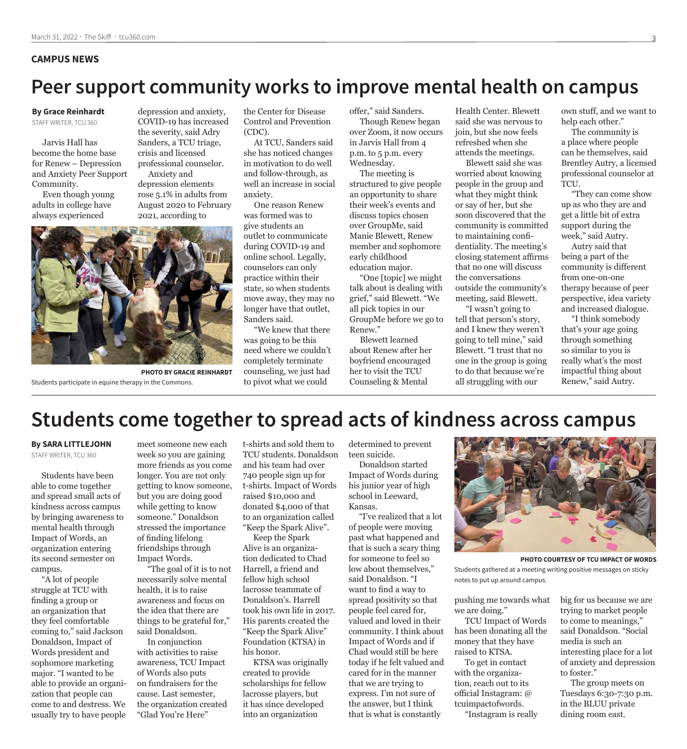#### **CAMPUS NEWS**

# **Peer support community works to improve mental health on campus**

#### **By Grace Reinhardt**  STAFF WRITER, TCU 360

Jarvis Hall has become the home base for Renew – Depression and Anxiety Peer Support Community.

Even though young adults in college have always experienced

depression and anxiety, COVID-19 has increased the severity, said Adry Sanders, a TCU triage, crisis and licensed professional counselor. Anxiety and depression elements rose 5.1% in adults from

August 2020 to February 2021, according to



**PHOTO BY GRACIE REINHARDT** Students participate in equine therapy in the Commons.

the Center for Disease Control and Prevention (CDC).

At TCU, Sanders said she has noticed changes in motivation to do well and follow-through, as well an increase in social anxiety.

One reason Renew was formed was to give students an outlet to communicate during COVID-19 and online school. Legally, counselors can only practice within their state, so when students move away, they may no longer have that outlet, Sanders said.

"We knew that there was going to be this need where we couldn't completely terminate counseling, we just had to pivot what we could

offer," said Sanders. Though Renew began over Zoom, it now occurs in Jarvis Hall from 4 p.m. to 5 p.m. every Wednesday.

The meeting is structured to give people an opportunity to share their week's events and discuss topics chosen over GroupMe, said Manie Blewett, Renew member and sophomore early childhood education major.

"One [topic] we might talk about is dealing with grief," said Blewett. "We all pick topics in our GroupMe before we go to Renew."

Blewett learned about Renew after her boyfriend encouraged her to visit the TCU Counseling & Mental

Health Center. Blewett said she was nervous to join, but she now feels refreshed when she attends the meetings.

Blewett said she was worried about knowing people in the group and what they might think or say of her, but she soon discovered that the community is committed to maintaining confidentiality. The meeting's closing statement affirms that no one will discuss the conversations outside the community's meeting, said Blewett.

"I wasn't going to tell that person's story, and I knew they weren't going to tell mine," said Blewett. "I trust that no one in the group is going to do that because we're all struggling with our

own stuff, and we want to help each other."

The community is a place where people can be themselves, said Brentley Autry, a licensed professional counselor at TCU.

"They can come show up as who they are and get a little bit of extra support during the week," said Autry.

Autry said that being a part of the community is different from one-on-one therapy because of peer perspective, idea variety and increased dialogue.

"I think somebody that's your age going through something so similar to you is really what's the most impactful thing about Renew," said Autry.

# **Students come together to spread acts of kindness across campus**

**By SARA LITTLEJOHN** STAFF WRITER, TCU 360

Students have been able to come together and spread small acts of kindness across campus by bringing awareness to mental health through Impact of Words, an organization entering its second semester on campus.

"A lot of people struggle at TCU with finding a group or an organization that they feel comfortable coming to," said Jackson Donaldson, Impact of Words president and sophomore marketing major. "I wanted to be able to provide an organization that people can come to and destress. We usually try to have people

meet someone new each week so you are gaining more friends as you come longer. You are not only getting to know someone, but you are doing good while getting to know someone." Donaldson stressed the importance of finding lifelong friendships through Impact Words.

"The goal of it is to not necessarily solve mental health, it is to raise awareness and focus on the idea that there are things to be grateful for," said Donaldson.

In conjunction with activities to raise awareness, TCU Impact of Words also puts on fundraisers for the cause. Last semester, the organization created "Glad You're Here"

t-shirts and sold them to TCU students. Donaldson and his team had over 740 people sign up for t-shirts. Impact of Words raised \$10,000 and donated \$4,000 of that to an organization called "Keep the Spark Alive".

Keep the Spark Alive is an organization dedicated to Chad Harrell, a friend and fellow high school lacrosse teammate of Donaldson's. Harrell took his own life in 2017. His parents created the "Keep the Spark Alive" Foundation (KTSA) in his honor.

KTSA was originally created to provide scholarships for fellow lacrosse players, but it has since developed into an organization

determined to prevent teen suicide.

Donaldson started Impact of Words during his junior year of high school in Leeward, Kansas.

"I've realized that a lot of people were moving past what happened and that is such a scary thing for someone to feel so low about themselves," said Donaldson. "I want to find a way to spread positivity so that people feel cared for, valued and loved in their community. I think about Impact of Words and if Chad would still be here today if he felt valued and cared for in the manner that we are trying to express. I'm not sure of the answer, but I think that is what is constantly



**PHOTO COURTESY OF TCU IMPACT OF WORDS**

Students gathered at a meeting writing positive messages on sticky notes to put up around campus.

pushing me towards what we are doing."

TCU Impact of Words has been donating all the money that they have raised to KTSA.

To get in contact with the organization, reach out to its official Instagram: @ tcuimpactofwords.

"Instagram is really

big for us because we are trying to market people to come to meanings," said Donaldson. "Social media is such an interesting place for a lot of anxiety and depression to foster."

The group meets on Tuesdays 6:30-7:30 p.m. in the BLUU private dining room east.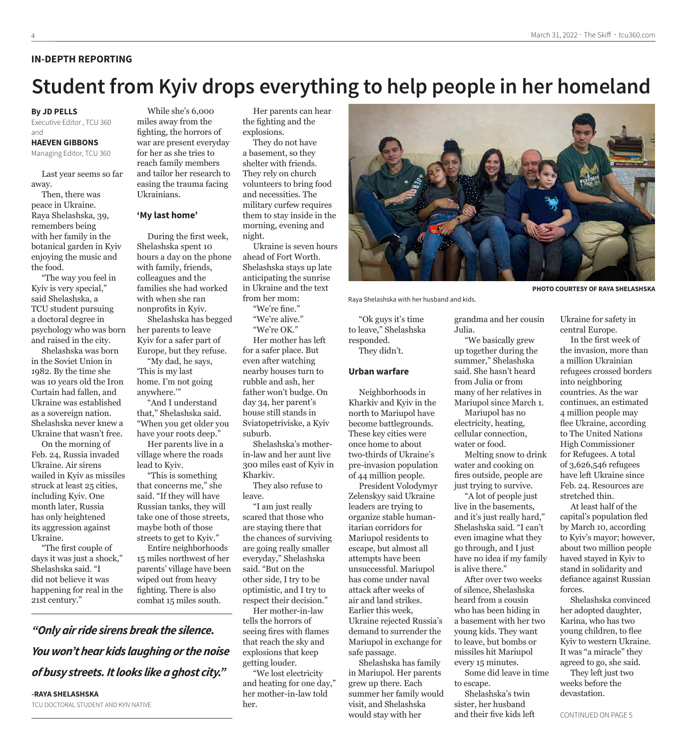#### **IN-DEPTH REPORTING**

# **Student from Kyiv drops everything to help people in her homeland**

#### **By JD PELLS**

Executive Editor , TCU 360 and

#### **HAEVEN GIBBONS**

Managing Editor, TCU 360

Last year seems so far away.

Then, there was peace in Ukraine. Raya Shelashska, 39, remembers being with her family in the botanical garden in Kyiv enjoying the music and the food.

"The way you feel in Kyiv is very special," said Shelashska, a TCU student pursuing a doctoral degree in psychology who was born and raised in the city.

Shelashska was born in the Soviet Union in 1982. By the time she was 10 years old the Iron Curtain had fallen, and Ukraine was established as a sovereign nation. Shelashska never knew a Ukraine that wasn't free.

On the morning of Feb. 24, Russia invaded Ukraine. Air sirens wailed in Kyiv as missiles struck at least 25 cities, including Kyiv. One month later, Russia has only heightened its aggression against Ukraine.

"The first couple of days it was just a shock," Shelashska said. "I did not believe it was happening for real in the 21st century."

**-RAYA SHELASHSKA**

TCU DOCTORAL STUDENT AND KYIV NATIVE

*"Only air ride sirens break the silence.* 

*You won't hear kids laughing or the noise* 

*of busy streets. It looks like a ghost city."*

While she's 6,000 miles away from the fighting, the horrors of war are present everyday for her as she tries to reach family members and tailor her research to easing the trauma facing Ukrainians.

#### **'My last home'**

During the first week, Shelashska spent 10 hours a day on the phone with family, friends, colleagues and the families she had worked with when she ran nonprofits in Kyiv.

Shelashska has begged her parents to leave Kyiv for a safer part of Europe, but they refuse.

"My dad, he says, 'This is my last home. I'm not going anywhere.'"

"And I understand that," Shelashska said. "When you get older you have your roots deep."

Her parents live in a village where the roads lead to Kyiv.

"This is something that concerns me," she said. "If they will have Russian tanks, they will take one of those streets, maybe both of those streets to get to Kyiv."

Entire neighborhoods 15 miles northwest of her parents' village have been wiped out from heavy fighting. There is also combat 15 miles south.

Her parents can hear the fighting and the explosions.

They do not have a basement, so they shelter with friends. They rely on church volunteers to bring food and necessities. The military curfew requires them to stay inside in the morning, evening and night.

Ukraine is seven hours ahead of Fort Worth. Shelashska stays up late anticipating the sunrise in Ukraine and the text from her mom:

"We're fine." "We're alive." "We're OK." Her mother has left for a safer place. But even after watching nearby houses turn to rubble and ash, her father won't budge. On day 34, her parent's house still stands in Sviatopetriviske, a Kyiv suburb.

Shelashska's motherin-law and her aunt live 300 miles east of Kyiv in Kharkiv.

They also refuse to leave.

"I am just really scared that those who are staying there that the chances of surviving are going really smaller everyday," Shelashska said. "But on the other side, I try to be optimistic, and I try to respect their decision."

Her mother-in-law tells the horrors of seeing fires with flames that reach the sky and explosions that keep getting louder.

"We lost electricity and heating for one day," her mother-in-law told her.



Raya Shelashska with her husband and kids.

"Ok guys it's time to leave," Shelashska responded. They didn't.

#### **Urban warfare**

Neighborhoods in Kharkiv and Kyiv in the north to Mariupol have become battlegrounds. These key cities were once home to about two-thirds of Ukraine's pre-invasion population of 44 million people.

President Volodymyr Zelenskyy said Ukraine leaders are trying to organize stable humanitarian corridors for Mariupol residents to escape, but almost all attempts have been unsuccessful. Mariupol has come under naval attack after weeks of air and land strikes. Earlier this week, Ukraine rejected Russia's demand to surrender the Mariupol in exchange for safe passage.

Shelashska has family in Mariupol. Her parents grew up there. Each summer her family would visit, and Shelashska would stay with her

grandma and her cousin Julia.

"We basically grew up together during the summer," Shelashska said. She hasn't heard from Julia or from many of her relatives in Mariupol since March 1. Mariupol has no

electricity, heating, cellular connection, water or food.

Melting snow to drink water and cooking on fires outside, people are just trying to survive.

"A lot of people just live in the basements, and it's just really hard," Shelashska said. "I can't even imagine what they go through, and I just have no idea if my family is alive there."

After over two weeks of silence, Shelashska heard from a cousin who has been hiding in a basement with her two young kids. They want to leave, but bombs or missiles hit Mariupol every 15 minutes. Some did leave in time

to escape.

Shelashska's twin sister, her husband and their five kids left Ukraine for safety in

central Europe.

In the first week of the invasion, more than a million Ukrainian refugees crossed borders into neighboring countries. As the war continues, an estimated 4 million people may flee Ukraine, according to The United Nations High Commissioner for Refugees. A total of 3,626,546 refugees have left Ukraine since Feb. 24. Resources are stretched thin.

At least half of the capital's population fled by March 10, according to Kyiv's mayor; however, about two million people haved stayed in Kyiv to stand in solidarity and defiance against Russian forces.

Shelashska convinced her adopted daughter, Karina, who has two young children, to flee Kyiv to western Ukraine. It was "a miracle" they agreed to go, she said.

They left just two weeks before the devastation.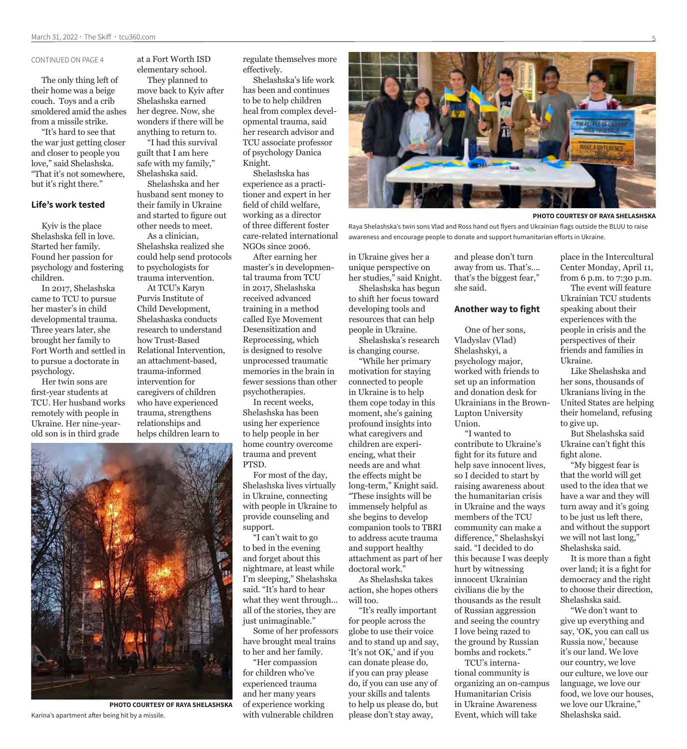#### CONTINUED ON PAGE 4

The only thing left of their home was a beige couch. Toys and a crib smoldered amid the ashes from a missile strike.

"It's hard to see that the war just getting closer and closer to people you love," said Shelashska. "That it's not somewhere, but it's right there."

#### **Life's work tested**

Kyiv is the place Shelashska fell in love. Started her family. Found her passion for psychology and fostering children.

In 2017, Shelashska came to TCU to pursue her master's in child developmental trauma. Three years later, she brought her family to Fort Worth and settled in to pursue a doctorate in psychology.

Her twin sons are first-year students at TCU. Her husband works remotely with people in Ukraine. Her nine-yearold son is in third grade

at a Fort Worth ISD elementary school. They planned to

move back to Kyiv after Shelashska earned her degree. Now, she wonders if there will be anything to return to.

"I had this survival guilt that I am here safe with my family," Shelashska said.

Shelashska and her husband sent money to their family in Ukraine and started to figure out other needs to meet.

As a clinician, Shelashska realized she could help send protocols to psychologists for trauma intervention.

At TCU's Karyn Purvis Institute of Child Development, Shelashaska conducts research to understand how Trust-Based Relational Intervention, an attachment-based, trauma-informed intervention for caregivers of children who have experienced trauma, strengthens relationships and helps children learn to



**PHOTO COURTESY OF RAYA SHELASHSKA** Karina's apartment after being hit by a missile.

regulate themselves more effectively.

Shelashska's life work has been and continues to be to help children heal from complex developmental trauma, said her research advisor and TCU associate professor of psychology Danica Knight.

Shelashska has experience as a practitioner and expert in her field of child welfare, working as a director of three different foster care-related international NGOs since 2006.

After earning her master's in developmental trauma from TCU in 2017, Shelashska received advanced training in a method called Eye Movement Desensitization and Reprocessing, which is designed to resolve unprocessed traumatic memories in the brain in fewer sessions than other psychotherapies.

In recent weeks, Shelashska has been using her experience to help people in her home country overcome trauma and prevent PTSD.

For most of the day, Shelashska lives virtually in Ukraine, connecting with people in Ukraine to provide counseling and support.

"I can't wait to go to bed in the evening and forget about this nightmare, at least while I'm sleeping," Shelashska said. "It's hard to hear what they went through... all of the stories, they are just unimaginable."

Some of her professors have brought meal trains to her and her family.

"Her compassion for children who've experienced trauma and her many years of experience working with vulnerable children

**PHOTO COURTESY OF RAYA SHELASHSKA**

Raya Shelashska's twin sons Vlad and Ross hand out flyers and Ukrainian flags outside the BLUU to raise awareness and encourage people to donate and support humanitarian efforts in Ukraine.

in Ukraine gives her a unique perspective on her studies," said Knight. Shelashska has begun to shift her focus toward developing tools and resources that can help people in Ukraine.

Shelashska's research is changing course.

"While her primary motivation for staying connected to people in Ukraine is to help them cope today in this moment, she's gaining profound insights into what caregivers and children are experiencing, what their needs are and what the effects might be long-term," Knight said. "These insights will be immensely helpful as she begins to develop companion tools to TBRI to address acute trauma and support healthy attachment as part of her doctoral work."

As Shelashska takes action, she hopes others will too.

"It's really important for people across the globe to use their voice and to stand up and say, 'It's not OK,' and if you can donate please do, if you can pray please do, if you can use any of your skills and talents to help us please do, but please don't stay away,

and please don't turn away from us. That's…. that's the biggest fear," she said.

#### **Another way to fight**

One of her sons, Vladyslav (Vlad) Shelashskyi, a psychology major, worked with friends to set up an information and donation desk for Ukrainians in the Brown-Lupton University Union.

"I wanted to contribute to Ukraine's fight for its future and help save innocent lives, so I decided to start by raising awareness about the humanitarian crisis in Ukraine and the ways members of the TCU community can make a difference," Shelashskyi said. "I decided to do this because I was deeply hurt by witnessing innocent Ukrainian civilians die by the thousands as the result of Russian aggression and seeing the country I love being razed to the ground by Russian bombs and rockets."

TCU's international community is organizing an on-campus Humanitarian Crisis in Ukraine Awareness Event, which will take

place in the Intercultural Center Monday, April 11, from 6 p.m. to 7:30 p.m.

The event will feature Ukrainian TCU students speaking about their experiences with the people in crisis and the perspectives of their friends and families in Ukraine.

Like Shelashska and her sons, thousands of Ukranians living in the United States are helping their homeland, refusing to give up.

But Shelashska said Ukraine can't fight this fight alone.

"My biggest fear is that the world will get used to the idea that we have a war and they will turn away and it's going to be just us left there, and without the support we will not last long," Shelashska said.

It is more than a fight over land; it is a fight for democracy and the right to choose their direction, Shelashska said.

"We don't want to give up everything and say, 'OK, you can call us Russia now,' because it's our land. We love our country, we love our culture, we love our language, we love our food, we love our houses, we love our Ukraine," Shelashska said.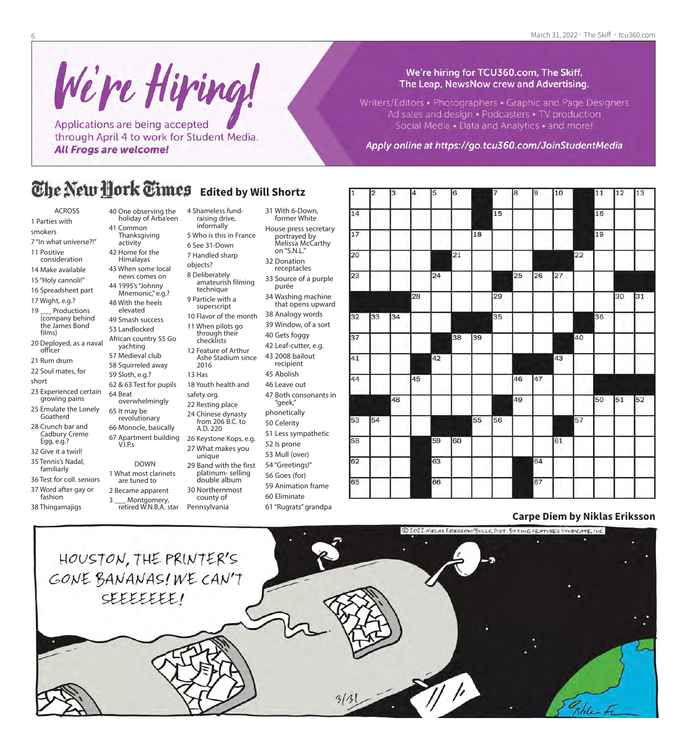We're Hiring! Applications are being accepted through April 4 to work for Student Media. **All Frogs are welcome!** 

#### We're hiring for TCU360.com, The Skiff, The Leap, NewsNow crew and Advertising.

Writers/Editors • Photographers • Graphic and Page Designers Ad sales and design . Podcasters . TV production Social Media • Data and Analytics • and more!

Apply online at https://go.tcu360.com/JoinStudentMedia

#### The New Hork Times **Edited by Will Shortz**

4 Shameless fundraising drive, informally

6 See 31-Down 7 Handled sharp objects? 8 Deliberately

amateurish filming technique 9 Particle with a superscript

11 When pilots go through their checklists 12 Feature of Arthur Ashe Stadium since

18 Youth health and

platinum- selling double album

county of

2016 13 Has

safety org. 22 Resting place 24 Chinese dynasty from 206 B.C. to A.D. 220 26 Keystone Kops, e.g. 27 What makes you unique

- ACROSS
- 1 Parties with
- smokers
- 7 "In what universe?!" 11 Positive
- consideration
- 14 Make available 15 "Holy cannoli!"
- 16 Spreadsheet part
- 17 Wight, e.g.?
- 19 Productions (company behind the James Bond films)
- 20 Deployed, as a naval officer
- 21 Rum drum
- 22 Soul mates, for
- short
- 23 Experienced certain growing pains
- 25 Emulate the Lonely Goatherd
- 28 Crunch bar and Cadbury Creme Egg, e.g.?
- 32 Give it a twirl! 35 Tennis's Nadal,
- familiarly
- 36 Test for coll. seniors 37 Word after gay or
- fashion 38 Thingamajigs
- 40 One observing the holiday of Arba'een
- 41 Common Thanksgiving activity
- 42 Home for the
- Himalayas
- 43 When some local news comes on
- 44 1995's "Johnny Mnemonic," e.g.? 48 With the heels
- elevated 49 Smash success
- 53 Landlocked African country 55 Go yachting 57 Medieval club
- 58 Squirreled away 59 Sloth, e.g.?
	- 62 & 63 Test for pupils 64 Beat overwhelmingly
	- 65 It may be revolutionary 66 Monocle, basically
	- 67 Apartment building V.I.P.s DOWN
	- 1 What most clarinets are tuned to 2 Became apparent 3 \_\_ Montgomery, 29 Band with the first 30 Northernmost
		- retired W.N.B.A. star Pennsylvania
- 5 Who is this in France 31 With 6-Down, former White House press secretary portrayed by
	- Melissa McCarthy on "S.N.L." 32 Donation
	- receptacles 33 Source of a purple
	- purée 34 Washing machine that opens upward
- 10 Flavor of the month 38 Analogy words 39 Window, of a sort
	- 40 Gets foggy 42 Leaf-cutter, e.g.
	- 43 2008 bailout recipient
	- 45 Abolish
	- 46 Leave out 47 Both consonants in
	- "geek," phonetically
	- 50 Celerity
	- 51 Less sympathetic
	- 52 Is prone 53 Mull (over)
	- 54 "Greetings!"
	- 56 Goes (for)
	- 59 Animation frame
	- 60 Eliminate
		- 61 "Rugrats" grandpa

| 11 | 2  | 13 | 14 | <sub>15</sub> | I6 |    | 7  | l8 | 19 | $ 10\rangle$ |    | 11 | $ 12\rangle$ | 13 |
|----|----|----|----|---------------|----|----|----|----|----|--------------|----|----|--------------|----|
| 14 |    |    |    |               |    |    | 15 |    |    |              |    | 16 |              |    |
| 17 |    |    |    |               |    | 18 |    |    |    |              |    | 19 |              |    |
| 20 |    |    |    |               | 21 |    |    |    |    |              | 22 |    |              |    |
| 23 |    |    |    | 24            |    |    |    | 25 | 26 | 27           |    |    |              |    |
|    |    |    | 28 |               |    |    | 29 |    |    |              |    |    | 30           | 31 |
| 32 | 33 | 34 |    |               |    |    | 35 |    |    |              |    | 36 |              |    |
| 37 |    |    |    |               | 38 | 39 |    |    |    |              | 40 |    |              |    |
| 41 |    |    |    | 42            |    |    |    |    |    | 43           |    |    |              |    |
| 44 |    |    | 45 |               |    |    |    | 46 | 47 |              |    |    |              |    |
|    |    | 48 |    |               |    |    |    | 49 |    |              |    | 50 | 51           | 52 |
| 53 | 54 |    |    |               |    | 55 | 56 |    |    |              | 57 |    |              |    |
| 58 |    |    |    | 59            | 60 |    |    |    |    | 61           |    |    |              |    |
| 62 |    |    |    | 63            |    |    |    |    | 64 |              |    |    |              |    |
| 65 |    |    |    | 66            |    |    |    |    | 67 |              |    |    |              |    |
|    |    |    |    |               |    |    |    |    |    |              |    |    |              |    |

### **Carpe Diem by Niklas Eriksson**

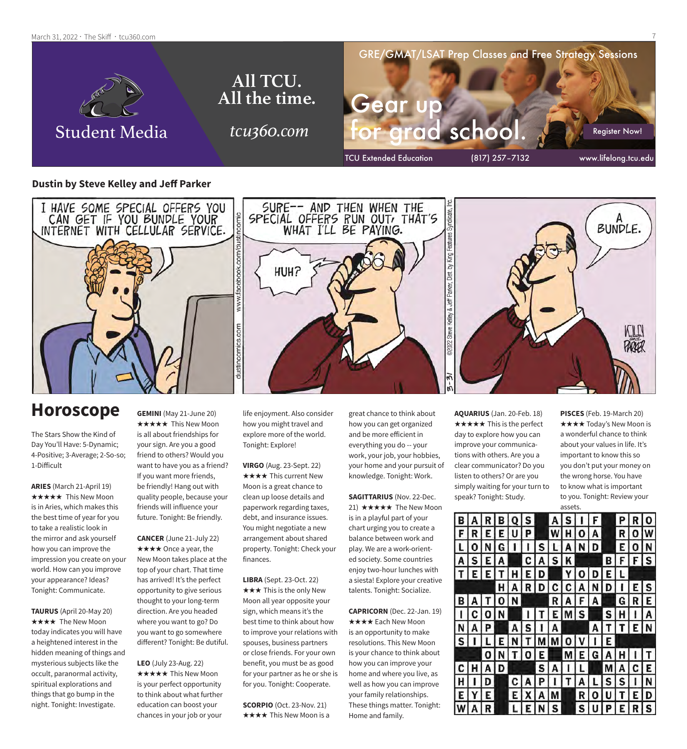March 31, 2022 · The Skiff · tcu360.com



#### **Dustin by Steve Kelley and Jeff Parker**



### **Horoscope**

The Stars Show the Kind of Day You'll Have: 5-Dynamic; 4-Positive; 3-Average; 2-So-so; 1-Difficult

**ARIES** (March 21-April 19) **★★★★★** This New Moon is in Aries, which makes this the best time of year for you to take a realistic look in the mirror and ask yourself how you can improve the impression you create on your world. How can you improve your appearance? Ideas? Tonight: Communicate.

**TAURUS** (April 20-May 20) **★★★★** The New Moon today indicates you will have a heightened interest in the hidden meaning of things and mysterious subjects like the occult, paranormal activity, spiritual explorations and things that go bump in the night. Tonight: Investigate.

**GEMINI** (May 21-June 20) **★★★★★** This New Moon is all about friendships for your sign. Are you a good friend to others? Would you want to have you as a friend? If you want more friends, be friendly! Hang out with quality people, because your friends will influence your future. Tonight: Be friendly.

**CANCER** (June 21-July 22) **★★★★** Once a year, the New Moon takes place at the top of your chart. That time has arrived! It's the perfect opportunity to give serious thought to your long-term direction. Are you headed where you want to go? Do you want to go somewhere different? Tonight: Be dutiful.

**LEO** (July 23-Aug. 22) **★★★★★** This New Moon is your perfect opportunity to think about what further education can boost your chances in your job or your

life enjoyment. Also consider how you might travel and explore more of the world. Tonight: Explore!

**VIRGO** (Aug. 23-Sept. 22) \*\*\*\* This current New Moon is a great chance to clean up loose details and paperwork regarding taxes, debt, and insurance issues. You might negotiate a new arrangement about shared property. Tonight: Check your finances.

**LIBRA** (Sept. 23-Oct. 22)  $\star \star \star$  This is the only New Moon all year opposite your sign, which means it's the best time to think about how to improve your relations with spouses, business partners or close friends. For your own benefit, you must be as good for your partner as he or she is for you. Tonight: Cooperate.

**SCORPIO** (Oct. 23-Nov. 21)  $\star \star \star \star$  This New Moon is a great chance to think about how you can get organized and be more efficient in everything you do -- your work, your job, your hobbies, your home and your pursuit of knowledge. Tonight: Work.

**SAGITTARIUS** (Nov. 22-Dec. 21)  $\star \star \star \star \star$  The New Moon is in a playful part of your chart urging you to create a balance between work and play. We are a work-oriented society. Some countries enjoy two-hour lunches with a siesta! Explore your creative talents. Tonight: Socialize.

**CAPRICORN** (Dec. 22-Jan. 19) **★★★★** Each New Moon is an opportunity to make resolutions. This New Moon is your chance to think about how you can improve your home and where you live, as well as how you can improve your family relationships. These things matter. Tonight: Home and family.

**AQUARIUS** (Jan. 20-Feb. 18)  $\star \star \star \star \star$  This is the perfect day to explore how you can improve your communications with others. Are you a clear communicator? Do you listen to others? Or are you simply waiting for your turn to speak? Tonight: Study.

**PISCES** (Feb. 19-March 20) **★★★★ Today's New Moon is** a wonderful chance to think about your values in life. It's important to know this so you don't put your money on the wrong horse. You have to know what is important to you. Tonight: Review your assets.